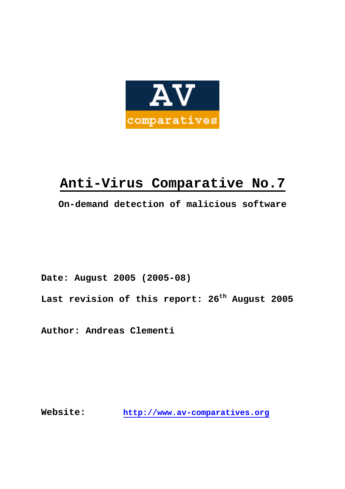

# **Anti-Virus Comparative No.7**

**On-demand detection of malicious software** 

**Date: August 2005 (2005-08)** 

**Last revision of this report: 26th August 2005** 

**Author: Andreas Clementi** 

**Website: http://www.av-comparatives.org**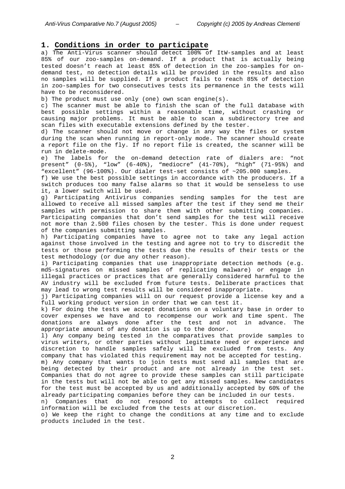## **1. Conditions in order to participate**

a) The Anti-Virus scanner should detect 100% of ItW-samples and at least 85% of our zoo-samples on-demand. If a product that is actually being tested doesn't reach at least 85% of detection in the zoo-samples for ondemand test, no detection details will be provided in the results and also no samples will be supplied. If a product fails to reach 85% of detection in zoo-samples for two consecutives tests its permanence in the tests will have to be reconsidered.

b) The product must use only (one) own scan engine(s).

c) The scanner must be able to finish the scan of the full database with best possible settings within a reasonable time, without crashing or causing major problems. It must be able to scan a subdirectory tree and scan files with executable extensions defined by the tester.

d) The scanner should not move or change in any way the files or system during the scan when running in report-only mode. The scanner should create a report file on the fly. If no report file is created, the scanner will be run in delete-mode.

e) The labels for the on-demand detection rate of dialers are: "not present" (0-5%), "low" (6-40%), "mediocre" (41-70%), "high" (71-95%) and "excellent" (96-100%). Our dialer test-set consists of ~205.000 samples.

f) We use the best possible settings in accordance with the producers. If a switch produces too many false alarms so that it would be senseless to use it, a lower switch will be used.

g) Participating Antivirus companies sending samples for the test are allowed to receive all missed samples after the test if they send me their samples with permission to share them with other submitting companies. Participating companies that don't send samples for the test will receive not more than 2.500 files chosen by the tester. This is done under request of the companies submitting samples.

h) Participating companies have to agree not to take any legal action against those involved in the testing and agree not to try to discredit the tests or those performing the tests due the results of their tests or the test methodology (or due any other reason).

i) Participating companies that use inappropriate detection methods (e.g. md5-signatures on missed samples of replicating malware) or engage in illegal practices or practices that are generally considered harmful to the AV industry will be excluded from future tests. Deliberate practices that may lead to wrong test results will be considered inappropriate.

j) Participating companies will on our request provide a license key and a full working product version in order that we can test it.

k) For doing the tests we accept donations on a voluntary base in order to cover expenses we have and to recompense our work and time spent. The donations are always done after the test and not in advance. The appropriate amount of any donation is up to the donor.

l) Any company being tested in the comparatives that provide samples to virus writers, or other parties without legitimate need or experience and discretion to handle samples safely will be excluded from tests. Any company that has violated this requirement may not be accepted for testing.

m) Any company that wants to join tests must send all samples that are being detected by their product and are not already in the test set. Companies that do not agree to provide these samples can still participate in the tests but will not be able to get any missed samples. New candidates for the test must be accepted by us and additionally accepted by 60% of the already participating companies before they can be included in our tests.

n) Companies that do not respond to attempts to collect required information will be excluded from the tests at our discretion.

o) We keep the right to change the conditions at any time and to exclude products included in the test.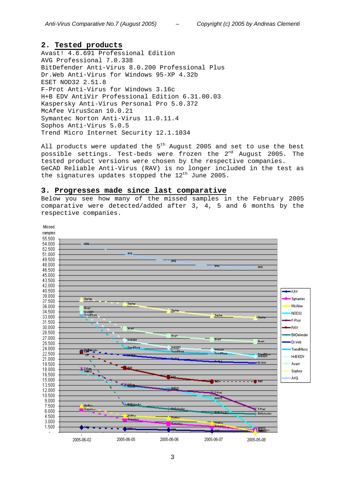## **2. Tested products**

Avast! 4.6.691 Professional Edition AVG Professional 7.0.338 BitDefender Anti-Virus 8.0.200 Professional Plus Dr.Web Anti-Virus for Windows 95-XP 4.32b ESET NOD32 2.51.8 F-Prot Anti-Virus for Windows 3.16c H+B EDV AntiVir Professional Edition 6.31.00.03 Kaspersky Anti-Virus Personal Pro 5.0.372 McAfee VirusScan 10.0.21 Symantec Norton Anti-Virus 11.0.11.4 Sophos Anti-Virus 5.0.5 Trend Micro Internet Security 12.1.1034

All products were updated the  $5<sup>th</sup>$  August 2005 and set to use the best possible settings. Test-beds were frozen the  $2^{nd}$  August 2005. The tested product versions were chosen by the respective companies. GeCAD Reliable Anti-Virus (RAV) is no longer included in the test as the signatures updates stopped the  $12^{th}$  June 2005.

#### **3. Progresses made since last comparative**

Below you see how many of the missed samples in the February 2005 comparative were detected/added after 3, 4, 5 and 6 months by the respective companies.

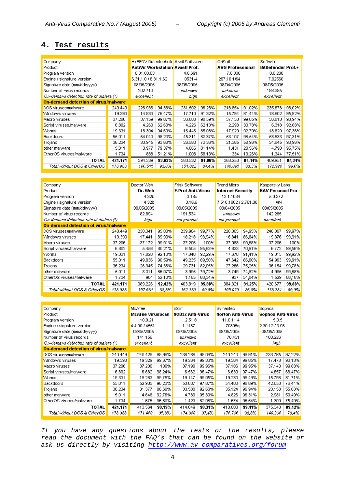# **4. Test results**

| Company                                 |         | H+BEDV Datentechnik Alwil Software      |        |            |        | GriSoft                 |        | Softwin                   |        |
|-----------------------------------------|---------|-----------------------------------------|--------|------------|--------|-------------------------|--------|---------------------------|--------|
| Product                                 |         | <b>AntiVir Workstation Avast! Prof.</b> |        |            |        | <b>AVG Professional</b> |        | <b>BitDefender Prof.+</b> |        |
| Program version                         |         | 6.31.00.03                              |        | 4.6.691    |        | 7.0.338                 |        | 8.0.200                   |        |
| Engine / signature version              |         | 6.31.1.0 / 6.31.1.62                    |        | 0531-4     |        | 267.10.1/64             |        | 7.02560                   |        |
| Signature date (mm/dd/yyyy)             |         | 08/05/2005                              |        | 08/05/2005 |        | 08/04/2005              |        | 08/05/2005                |        |
| Number of virus records                 |         | 202.710                                 |        | unknown    |        | unknown                 |        | 198.395                   |        |
| On-demand detection rate of dialers (*) |         | excellent                               |        | hiah       |        | excellent               |        | excellent                 |        |
| On-demand detection of virus/malware    |         |                                         |        |            |        |                         |        |                           |        |
| DOS viruses/malware                     | 240.449 | 226.936                                 | 94,38% | 231.502    | 96,28% | 218.854                 | 91,02% | 235.678                   | 98,02% |
| Windows viruses                         | 19.393  | 14.830                                  | 76,47% | 17.710     | 91,32% | 15.794                  | 81,44% | 18.602                    | 95,92% |
| Macro viruses                           | 37.206  | 37.159                                  | 99,87% | 36.680     | 98,59% | 37.150                  | 99,85% | 36.813                    | 98,94% |
| Script viruses/malware                  | 6.802   | 4.260                                   | 62,63% | 4.226      | 62,13% | 2.298                   | 33,78% | 6.318                     | 92,88% |
| <b>Worms</b>                            | 19.331  | 18.304                                  | 94,69% | 16.446     | 85,08% | 17.920                  | 92,70% | 18.820                    | 97,36% |
| <b>Backdoors</b>                        | 55.011  | 54.040                                  | 98.23% | 45.311     | 82,37% | 96,54%<br>53.107        |        | 53.533                    | 97,31% |
| Trojans                                 | 36.234  | 33.945                                  | 93,68% | 26.583     | 73,36% | 21.365                  | 58,96% | 34.045                    | 93,96% |
| other malware                           | 5.011   | 3.977                                   | 79,37% | 4.066      | 81,14% | 1.431                   | 28,56% | 4.798                     | 95,75% |
| OtherOS viruses/malware                 | 1.734   | 888                                     | 51,21% | 1.008      | 58,13% | 334                     | 19,26% | 1.344                     | 77,51% |
| TOTAL                                   | 421.171 | 394.339                                 | 93,63% | 383.532    | 91,06% | 368.253                 | 87,44% | 409.951                   | 97,34% |
| Total without DOS & OtherOS             | 178.988 | 166.515                                 | 93,0%  | 151.022    | 84,4%  | 149.065                 | 83.3%  | 172.929                   | 96,6%  |

| Company                                 |         | Doctor Web |        | <b>Frisk Software</b>    |        | <b>Trend Micro</b>       |        | Kaspersky Labs          |        |
|-----------------------------------------|---------|------------|--------|--------------------------|--------|--------------------------|--------|-------------------------|--------|
| Product                                 |         | Dr. Web    |        | <b>F-Prot Anti-Virus</b> |        | <b>Internet Security</b> |        | <b>KAV Personal Pro</b> |        |
| Program version                         |         | 4.32b      |        | 3.16 <sub>c</sub>        |        | 12.1.1034                |        | 5.0.372                 |        |
| Engine / signature version              |         | 4.32b      |        | 3.16.6                   |        | 7.510.1002 / 2.761.00    |        | N/A                     |        |
| Signature date (mm/dd/yyyy)             |         | 08/05/2005 |        | 08/05/2005               |        | 08/04/2005               |        | 08/05/2005              |        |
| Number of virus records                 |         | 82.894     |        | 191.534                  |        | unknown                  |        | 142.285                 |        |
| On-demand detection rate of dialers (*) |         | high       |        | not present.             |        | not present              |        | excellent               |        |
| On-demand detection of virus/malware    |         |            |        |                          |        |                          |        |                         |        |
| DOS viruses/malware                     | 240.449 | 230.341    | 95,80% | 239.904                  | 99,77% | 228.305                  | 94,95% | 240.367                 | 99,97% |
| Windows viruses                         | 19.393  | 17.441     | 89,93% | 18.218                   | 93,94% | 16.841                   | 86,84% | 19.376                  | 99,91% |
| Macro viruses                           | 37.206  | 37.172     | 99,91% | 37.206                   | 100%   | 37.088                   | 99,68% | 37.206                  | 100%   |
| Script viruses/malware                  | 6.802   | 5.456      | 80,21% | 6.505                    | 95,63% | 4.823                    | 70,91% | 6.772                   | 99,56% |
| <b>Worms</b>                            | 19.331  | 17.820     | 92,18% | 17.840                   | 92,29% | 17.670                   | 91,41% | 19.315                  | 99,92% |
| <b>Backdoors</b>                        | 55.011  | 49.836     | 90,59% | 49.235                   | 89,50% |                          | 86,60% | 54.963                  | 99,91% |
| Trojans                                 | 36.234  | 26.945     | 74,36% | 29.731                   | 82,05% | 27.266                   | 75,25% | 36.154                  | 99,78% |
| other malware                           | 5.011   | 3.311      | 66,07% | 3.995                    | 79,72% | 3.749                    | 74,82% | 4.995                   | 99,68% |
| OtherOS viruses/malware                 | 1.734   | 904        | 52,13% | 1.185                    | 68,34% | 937                      | 54,04% | 1.529                   | 88,18% |
| TOTAL                                   | 421.171 | 389.226    | 92,42% | 403.819                  | 95,88% | 384.321                  | 91,25% | 420.677                 | 99,88% |
| Total without DOS & OtherOS             | 178.988 | 157.981    | 88,3%  | 162.730                  | 90.9%  | 155.079                  | 86.6%  | 178.781                 | 99,9%  |

| Company                                 |         | McAfee                  |        | <b>ESET</b>             |        | Symantec                 |        | <b>Sophos</b>            |        |
|-----------------------------------------|---------|-------------------------|--------|-------------------------|--------|--------------------------|--------|--------------------------|--------|
| Product                                 |         | <b>McAfee VirusScan</b> |        | <b>NOD32 Anti-Virus</b> |        | <b>Norton Anti-Virus</b> |        | <b>Sophos Anti-Virus</b> |        |
| Program version                         |         | 10.0.21                 |        | 2.51.8                  |        | 11.0.11.4                |        | 5.0.5                    |        |
| Engine / signature version              |         | 4.4.00 / 4551           |        | 1.1187                  |        | 70805a                   |        | 2.30.12 / 3.96           |        |
| Signature date (mm/dd/yyyy)             |         | 08/05/2005              |        | 08/05/2005              |        | 08/05/2005               |        | 08/05/2005               |        |
| Number of virus records                 |         | 141.156                 |        | unknown                 |        | 70.431                   |        | 108.226                  |        |
| On-demand detection rate of dialers (*) |         | excellent               |        | excellent               |        | excellent                |        | high                     |        |
| On-demand detection of virus/malware    |         |                         |        |                         |        |                          |        |                          |        |
| DOS viruses/malware                     | 240.449 | 240.429                 | 99,99% | 238.266                 | 99,09% | 240.243                  | 99,91% | 233.765                  | 97,22% |
| Windows viruses                         | 19.393  | 19.329                  | 99,67% | 19.264                  | 99,33% | 19.364                   | 99,85% | 17.478                   | 90,13% |
| Macro viruses                           | 37.206  | 37.206                  | 100%   | 37.190                  | 99,96% | 37.186                   | 99,95% | 37.143                   | 99,83% |
| Script viruses/malware                  | 6.802   | 6.682                   | 98,24% | 6.562                   | 96,47% | 6.630                    | 97,47% | 4.657                    | 68,47% |
| <b>Worms</b>                            | 19.331  | 19.283                  | 99,75% | 19.147                  | 99,05% | 19.233                   | 99,49% | 15.796                   | 81,71% |
| <b>Backdoors</b>                        | 55.011  | 52.935                  | 96,23% | 53.837                  | 97,87% | 54.403                   | 98,89% | 42.053                   | 76,44% |
| Trojans                                 | 36.234  | 31.377                  | 86,60% | 33.580                  | 92,68% | 35.124                   | 96,94% | 20.158                   | 55,63% |
| other malware                           | 5.011   | 4.648                   | 92,76% | 4.780                   | 95,39% | 4.826                    | 96,31% | 2.981                    | 59,49% |
| OtherOS viruses/malware                 | 1.734   | 1.675                   | 96,60% | 1.423                   | 82,06% | 1.674                    | 96,54% | 1.309                    | 75,49% |
| TOTAL                                   | 421.171 | 413.564                 | 98,19% | 414.049                 | 98,31% | 418.683                  | 99.41% | 375.340                  | 89,12% |
| Total without DOS & OtherOS             | 178.988 | 171.460                 | 95,8%  | 174.360                 | 97.4%  | 176.766                  | 98.8%  | 140.266                  | 78,4%  |

*If you have any questions about the tests or the results, please read the document with the FAQ's that can be found on the website or ask us directly by visiting http://www.av-comparatives.org/forum*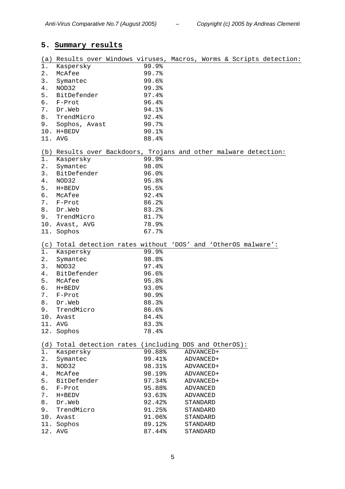# **5. Summary results**

| <u>(a)</u>       | Results over Windows viruses, Macros, Worms & Scripts detection: |        |           |  |  |
|------------------|------------------------------------------------------------------|--------|-----------|--|--|
| 1.               | Kaspersky                                                        | 99.9%  |           |  |  |
| 2.               | McAfee                                                           | 99.7%  |           |  |  |
| 3.               | Symantec                                                         | 99.6%  |           |  |  |
| 4.               | NOD32                                                            | 99.3%  |           |  |  |
| 5.               | BitDefender                                                      | 97.4%  |           |  |  |
| б.               | F-Prot                                                           | 96.4%  |           |  |  |
| 7.               | Dr.Web                                                           | 94.1%  |           |  |  |
| 8.               | TrendMicro                                                       | 92.4%  |           |  |  |
|                  |                                                                  |        |           |  |  |
| 9.               | Sophos, Avast                                                    | 90.7%  |           |  |  |
|                  | 10. H+BEDV                                                       | 90.1%  |           |  |  |
|                  | 11. AVG                                                          | 88.4%  |           |  |  |
| (b)              | Results over Backdoors, Trojans and other malware detection:     |        |           |  |  |
| $1$ .            | Kaspersky                                                        | 99.9%  |           |  |  |
| 2.               | Symantec                                                         | 98.0%  |           |  |  |
| 3.               | BitDefender                                                      | 96.0%  |           |  |  |
| 4.               | NOD32                                                            | 95.8%  |           |  |  |
| 5.               | H+BEDV                                                           | 95.5%  |           |  |  |
| б.               | McAfee                                                           | 92.4%  |           |  |  |
| $7$ .            | F-Prot                                                           | 86.2%  |           |  |  |
| 8.               | Dr.Web                                                           | 83.2%  |           |  |  |
| 9.               | TrendMicro                                                       | 81.7%  |           |  |  |
|                  | 10. Avast, AVG                                                   | 78.9%  |           |  |  |
|                  |                                                                  | 67.7%  |           |  |  |
|                  | 11. Sophos                                                       |        |           |  |  |
| (c)              | Total detection rates without 'DOS' and 'OtherOS malware':       |        |           |  |  |
| $1$ .            | Kaspersky                                                        | 99.9%  |           |  |  |
| 2.               | Symantec                                                         | 98.8%  |           |  |  |
| 3.               | NOD32                                                            | 97.4%  |           |  |  |
| 4.               | BitDefender                                                      | 96.6%  |           |  |  |
| 5.               | McAfee                                                           | 95.8%  |           |  |  |
| б.               | $H+BEDV$                                                         | 93.0%  |           |  |  |
| 7.               | F-Prot                                                           | 90.9%  |           |  |  |
| 8.               | Dr.Web                                                           | 88.3%  |           |  |  |
| 9.               | TrendMicro                                                       | 86.6%  |           |  |  |
|                  | 10. Avast                                                        | 84.4%  |           |  |  |
| 11.              | AVG                                                              | 83.3%  |           |  |  |
|                  | 12. Sophos                                                       | 78.4%  |           |  |  |
|                  |                                                                  |        |           |  |  |
| (d)              | Total detection rates (including DOS and OtherOS):               |        |           |  |  |
| $\overline{1}$ . | Kaspersky                                                        | 99.88% | ADVANCED+ |  |  |
| 2.               | Symantec                                                         | 99.41% | ADVANCED+ |  |  |
| $3$ .            | NOD32                                                            | 98.31% | ADVANCED+ |  |  |
| 4.               | McAfee                                                           | 98.19% | ADVANCED+ |  |  |
| 5.               | BitDefender                                                      | 97.34% | ADVANCED+ |  |  |
| б.               | F-Prot                                                           | 95.88% | ADVANCED  |  |  |
| 7.               | H+BEDV                                                           | 93.63% | ADVANCED  |  |  |
| 8.               | Dr.Web                                                           | 92.42% | STANDARD  |  |  |
| 9.               | TrendMicro                                                       | 91.25% | STANDARD  |  |  |
|                  | 10. Avast                                                        | 91.06% | STANDARD  |  |  |
| 11.              | Sophos                                                           | 89.12% | STANDARD  |  |  |
|                  | 12. AVG                                                          | 87.44% | STANDARD  |  |  |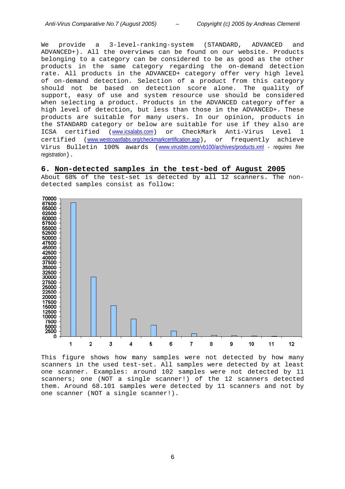We provide a 3-level-ranking-system (STANDARD, ADVANCED and ADVANCED+). All the overviews can be found on our website. Products belonging to a category can be considered to be as good as the other products in the same category regarding the on-demand detection rate. All products in the ADVANCED+ category offer very high level of on-demand detection. Selection of a product from this category should not be based on detection score alone. The quality of support, easy of use and system resource use should be considered when selecting a product. Products in the ADVANCED category offer a high level of detection, but less than those in the ADVANCED+. These products are suitable for many users. In our opinion, products in the STANDARD category or below are suitable for use if they also are ICSA certified (www.icsalabs.com) or CheckMark Anti-Virus Level 1 certified (www.westcoastlabs.org/checkmarkcertification.asp), or frequently achieve Virus Bulletin 100% awards (www.virusbtn.com/vb100/archives/products.xml - *requires free registration*).

#### **6. Non-detected samples in the test-bed of August 2005**

About 68% of the test-set is detected by all 12 scanners. The nondetected samples consist as follow:



This figure shows how many samples were not detected by how many scanners in the used test-set. All samples were detected by at least one scanner. Examples: around 102 samples were not detected by 11 scanners; one (NOT a single scanner!) of the 12 scanners detected them. Around 68.101 samples were detected by 11 scanners and not by one scanner (NOT a single scanner!).